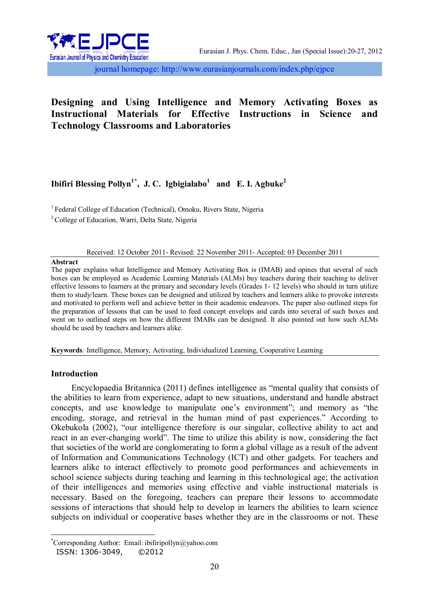

journal homepage: http://www.eurasianjournals.com/index.php/ejpce

# **Designing and Using Intelligence and Memory Activating Boxes as Instructional Materials for Effective Instructions in Science and Technology Classrooms and Laboratories**

# **Ibifiri Blessing Pollyn1\* , J. C. Igbigialabo<sup>1</sup> and E. I. Agbuke<sup>2</sup>**

<sup>1</sup> Federal College of Education (Technical), Omoku, Rivers State, Nigeria

<sup>2</sup> College of Education, Warri, Delta State, Nigeria

## Received: 12 October 2011- Revised: 22 November 2011- Accepted: 03 December 2011

#### **Abstract**

The paper explains what Intelligence and Memory Activating Box is (IMAB) and opines that several of such boxes can be employed as Academic Learning Materials (ALMs) buy teachers during their teaching to deliver effective lessons to learners at the primary and secondary levels (Grades 1- 12 levels) who should in turn utilize them to study/learn. These boxes can be designed and utilized by teachers and learners alike to provoke interests and motivated to perform well and achieve better in their academic endeavors. The paper also outlined steps for the preparation of lessons that can be used to feed concept envelops and cards into several of such boxes and went on to outlined steps on how the different IMABs can be designed. It also pointed out how such ALMs should be used by teachers and learners alike.

**Keywords***:* Intelligence, Memory, Activating, Individualized Learning, Cooperative Learning

### **Introduction**

Encyclopaedia Britannica (2011) defines intelligence as "mental quality that consists of the abilities to learn from experience, adapt to new situations, understand and handle abstract concepts, and use knowledge to manipulate one's environment"; and memory as "the encoding, storage, and retrieval in the human mind of past experiences." According to Okebukola (2002), "our intelligence therefore is our singular, collective ability to act and react in an ever-changing world". The time to utilize this ability is now, considering the fact that societies of the world are conglomerating to form a global village as a result of the advent of Information and Communications Technology (ICT) and other gadgets. For teachers and learners alike to interact effectively to promote good performances and achievements in school science subjects during teaching and learning in this technological age; the activation of their intelligences and memories using effective and viable instructional materials is necessary. Based on the foregoing, teachers can prepare their lessons to accommodate sessions of interactions that should help to develop in learners the abilities to learn science subjects on individual or cooperative bases whether they are in the classrooms or not. These

 $\overline{\phantom{a}}$ \*Corresponding Author: Email: ibifiripollyn@yahoo.com

ISSN: 1306-3049, ©2012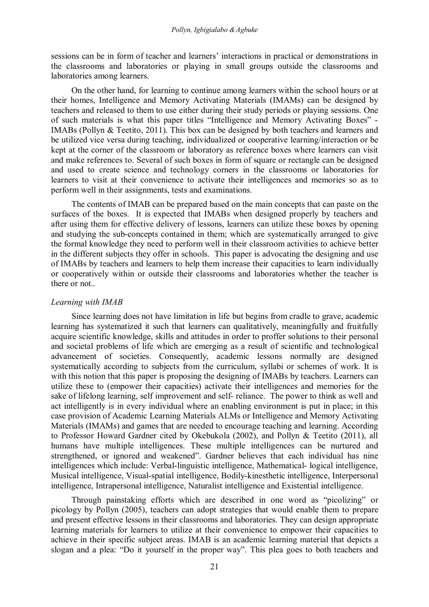sessions can be in form of teacher and learners' interactions in practical or demonstrations in the classrooms and laboratories or playing in small groups outside the classrooms and laboratories among learners.

On the other hand, for learning to continue among learners within the school hours or at their homes, Intelligence and Memory Activating Materials (IMAMs) can be designed by teachers and released to them to use either during their study periods or playing sessions. One of such materials is what this paper titles "Intelligence and Memory Activating Boxes" - IMABs (Pollyn & Teetito, 2011). This box can be designed by both teachers and learners and be utilized vice versa during teaching, individualized or cooperative learning/interaction or be kept at the corner of the classroom or laboratory as reference boxes where learners can visit and make references to. Several of such boxes in form of square or rectangle can be designed and used to create science and technology corners in the classrooms or laboratories for learners to visit at their convenience to activate their intelligences and memories so as to perform well in their assignments, tests and examinations.

The contents of IMAB can be prepared based on the main concepts that can paste on the surfaces of the boxes. It is expected that IMABs when designed properly by teachers and after using them for effective delivery of lessons, learners can utilize these boxes by opening and studying the sub-concepts contained in them; which are systematically arranged to give the formal knowledge they need to perform well in their classroom activities to achieve better in the different subjects they offer in schools. This paper is advocating the designing and use of IMABs by teachers and learners to help them increase their capacities to learn individually or cooperatively within or outside their classrooms and laboratories whether the teacher is there or not..

#### *Learning with IMAB*

Since learning does not have limitation in life but begins from cradle to grave, academic learning has systematized it such that learners can qualitatively, meaningfully and fruitfully acquire scientific knowledge, skills and attitudes in order to proffer solutions to their personal and societal problems of life which are emerging as a result of scientific and technological advancement of societies. Consequently, academic lessons normally are designed systematically according to subjects from the curriculum, syllabi or schemes of work. It is with this notion that this paper is proposing the designing of IMABs by teachers. Learners can utilize these to (empower their capacities) activate their intelligences and memories for the sake of lifelong learning, self improvement and self- reliance. The power to think as well and act intelligently is in every individual where an enabling environment is put in place; in this case provision of Academic Learning Materials ALMs or Intelligence and Memory Activating Materials (IMAMs) and games that are needed to encourage teaching and learning. According to Professor Howard Gardner cited by Okebukola (2002), and Pollyn & Teetito (2011), all humans have multiple intelligences. These multiple intelligences can be nurtured and strengthened, or ignored and weakened". Gardner believes that each individual has nine intelligences which include: Verbal-linguistic intelligence, Mathematical- logical intelligence, Musical intelligence, Visual-spatial intelligence, Bodily-kinesthetic intelligence, Interpersonal intelligence, Intrapersonal intelligence, Naturalist intelligence and Existential intelligence.

Through painstaking efforts which are described in one word as "picolizing" or picology by Pollyn (2005), teachers can adopt strategies that would enable them to prepare and present effective lessons in their classrooms and laboratories. They can design appropriate learning materials for learners to utilize at their convenience to empower their capacities to achieve in their specific subject areas. IMAB is an academic learning material that depicts a slogan and a plea: "Do it yourself in the proper way". This plea goes to both teachers and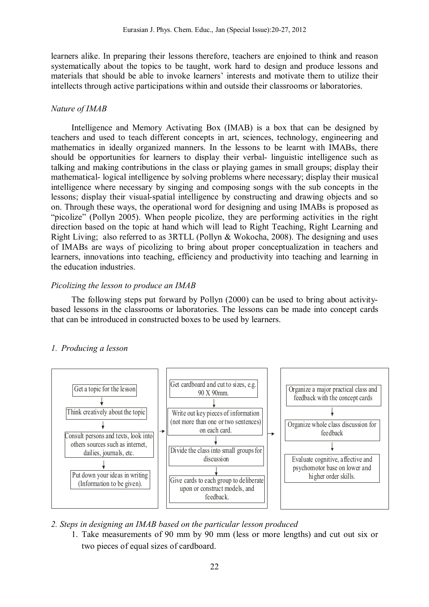learners alike. In preparing their lessons therefore, teachers are enjoined to think and reason systematically about the topics to be taught, work hard to design and produce lessons and materials that should be able to invoke learners' interests and motivate them to utilize their intellects through active participations within and outside their classrooms or laboratories.

### *Nature of IMAB*

Intelligence and Memory Activating Box (IMAB) is a box that can be designed by teachers and used to teach different concepts in art, sciences, technology, engineering and mathematics in ideally organized manners. In the lessons to be learnt with IMABs, there should be opportunities for learners to display their verbal- linguistic intelligence such as talking and making contributions in the class or playing games in small groups; display their mathematical- logical intelligence by solving problems where necessary; display their musical intelligence where necessary by singing and composing songs with the sub concepts in the lessons; display their visual-spatial intelligence by constructing and drawing objects and so on. Through these ways, the operational word for designing and using IMABs is proposed as "picolize" (Pollyn 2005). When people picolize, they are performing activities in the right direction based on the topic at hand which will lead to Right Teaching, Right Learning and Right Living; also referred to as 3RTLL (Pollyn & Wokocha, 2008). The designing and uses of IMABs are ways of picolizing to bring about proper conceptualization in teachers and learners, innovations into teaching, efficiency and productivity into teaching and learning in the education industries.

## *Picolizing the lesson to produce an IMAB*

The following steps put forward by Pollyn (2000) can be used to bring about activitybased lessons in the classrooms or laboratories. The lessons can be made into concept cards that can be introduced in constructed boxes to be used by learners.

# *1. Producing a lesson*



# *2. Steps in designing an IMAB based on the particular lesson produced*

1. Take measurements of 90 mm by 90 mm (less or more lengths) and cut out six or two pieces of equal sizes of cardboard.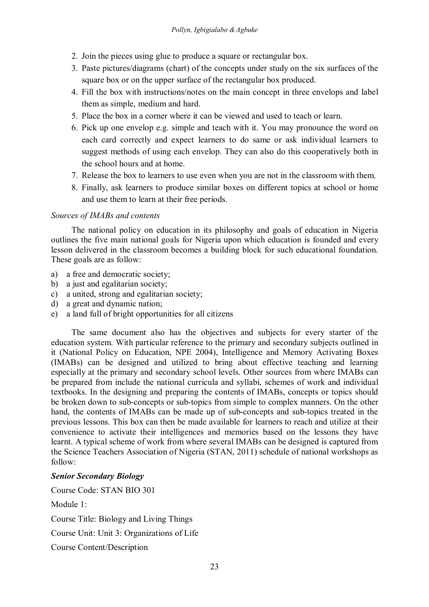- 2. Join the pieces using glue to produce a square or rectangular box.
- 3. Paste pictures/diagrams (chart) of the concepts under study on the six surfaces of the square box or on the upper surface of the rectangular box produced.
- 4. Fill the box with instructions/notes on the main concept in three envelops and label them as simple, medium and hard.
- 5. Place the box in a corner where it can be viewed and used to teach or learn.
- 6. Pick up one envelop e.g. simple and teach with it. You may pronounce the word on each card correctly and expect learners to do same or ask individual learners to suggest methods of using each envelop. They can also do this cooperatively both in the school hours and at home.
- 7. Release the box to learners to use even when you are not in the classroom with them.
- 8. Finally, ask learners to produce similar boxes on different topics at school or home and use them to learn at their free periods.

## *Sources of IMABs and contents*

The national policy on education in its philosophy and goals of education in Nigeria outlines the five main national goals for Nigeria upon which education is founded and every lesson delivered in the classroom becomes a building block for such educational foundation. These goals are as follow:

- a) a free and democratic society;
- b) a just and egalitarian society;
- c) a united, strong and egalitarian society;
- d) a great and dynamic nation;
- e) a land full of bright opportunities for all citizens

The same document also has the objectives and subjects for every starter of the education system. With particular reference to the primary and secondary subjects outlined in it (National Policy on Education, NPE 2004), Intelligence and Memory Activating Boxes (IMABs) can be designed and utilized to bring about effective teaching and learning especially at the primary and secondary school levels. Other sources from where IMABs can be prepared from include the national curricula and syllabi, schemes of work and individual textbooks. In the designing and preparing the contents of IMABs, concepts or topics should be broken down to sub-concepts or sub-topics from simple to complex manners. On the other hand, the contents of IMABs can be made up of sub-concepts and sub-topics treated in the previous lessons. This box can then be made available for learners to reach and utilize at their convenience to activate their intelligences and memories based on the lessons they have learnt. A typical scheme of work from where several IMABs can be designed is captured from the Science Teachers Association of Nigeria (STAN, 2011) schedule of national workshops as follow:

# *Senior Secondary Biology*

Course Code: STAN BIO 301

Module 1:

Course Title: Biology and Living Things

Course Unit: Unit 3: Organizations of Life

Course Content/Description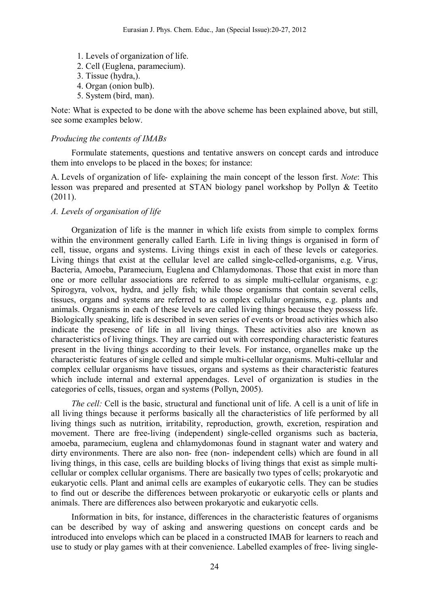- 1. Levels of organization of life.
- 2. Cell (Euglena, paramecium).
- 3. Tissue (hydra,).
- 4. Organ (onion bulb).
- 5. System (bird, man).

Note: What is expected to be done with the above scheme has been explained above, but still, see some examples below.

#### *Producing the contents of IMABs*

Formulate statements, questions and tentative answers on concept cards and introduce them into envelops to be placed in the boxes; for instance:

A. Levels of organization of life- explaining the main concept of the lesson first. *Note*: This lesson was prepared and presented at STAN biology panel workshop by Pollyn & Teetito (2011).

### *A. Levels of organisation of life*

Organization of life is the manner in which life exists from simple to complex forms within the environment generally called Earth. Life in living things is organised in form of cell, tissue, organs and systems. Living things exist in each of these levels or categories. Living things that exist at the cellular level are called single-celled-organisms, e.g. Virus, Bacteria, Amoeba, Paramecium, Euglena and Chlamydomonas. Those that exist in more than one or more cellular associations are referred to as simple multi-cellular organisms, e.g: Spirogyra, volvox, hydra, and jelly fish; while those organisms that contain several cells, tissues, organs and systems are referred to as complex cellular organisms, e.g. plants and animals. Organisms in each of these levels are called living things because they possess life. Biologically speaking, life is described in seven series of events or broad activities which also indicate the presence of life in all living things. These activities also are known as characteristics of living things. They are carried out with corresponding characteristic features present in the living things according to their levels. For instance, organelles make up the characteristic features of single celled and simple multi-cellular organisms. Multi-cellular and complex cellular organisms have tissues, organs and systems as their characteristic features which include internal and external appendages. Level of organization is studies in the categories of cells, tissues, organ and systems (Pollyn, 2005).

*The cell:* Cell is the basic, structural and functional unit of life. A cell is a unit of life in all living things because it performs basically all the characteristics of life performed by all living things such as nutrition, irritability, reproduction, growth, excretion, respiration and movement. There are free-living (independent) single-celled organisms such as bacteria, amoeba, paramecium, euglena and chlamydomonas found in stagnant water and watery and dirty environments. There are also non- free (non- independent cells) which are found in all living things, in this case, cells are building blocks of living things that exist as simple multicellular or complex cellular organisms. There are basically two types of cells; prokaryotic and eukaryotic cells. Plant and animal cells are examples of eukaryotic cells. They can be studies to find out or describe the differences between prokaryotic or eukaryotic cells or plants and animals. There are differences also between prokaryotic and eukaryotic cells.

Information in bits, for instance, differences in the characteristic features of organisms can be described by way of asking and answering questions on concept cards and be introduced into envelops which can be placed in a constructed IMAB for learners to reach and use to study or play games with at their convenience. Labelled examples of free- living single-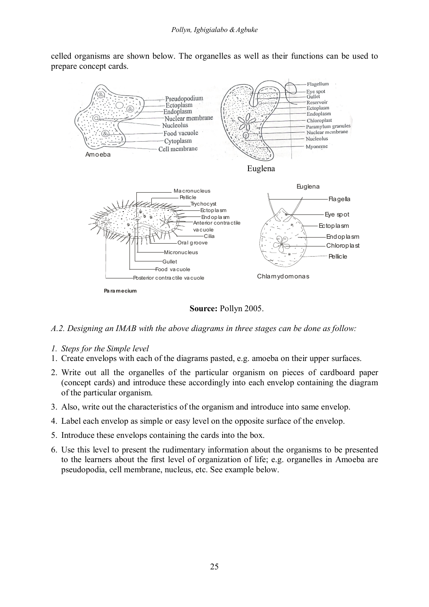celled organisms are shown below. The organelles as well as their functions can be used to prepare concept cards.



 **Source:** Pollyn 2005.

- *A.2. Designing an IMAB with the above diagrams in three stages can be done as follow:*
- *1. Steps for the Simple level*
- 1. Create envelops with each of the diagrams pasted, e.g. amoeba on their upper surfaces.
- 2. Write out all the organelles of the particular organism on pieces of cardboard paper (concept cards) and introduce these accordingly into each envelop containing the diagram of the particular organism.
- 3. Also, write out the characteristics of the organism and introduce into same envelop.
- 4. Label each envelop as simple or easy level on the opposite surface of the envelop.
- 5. Introduce these envelops containing the cards into the box.
- 6. Use this level to present the rudimentary information about the organisms to be presented to the learners about the first level of organization of life; e.g. organelles in Amoeba are pseudopodia, cell membrane, nucleus, etc. See example below.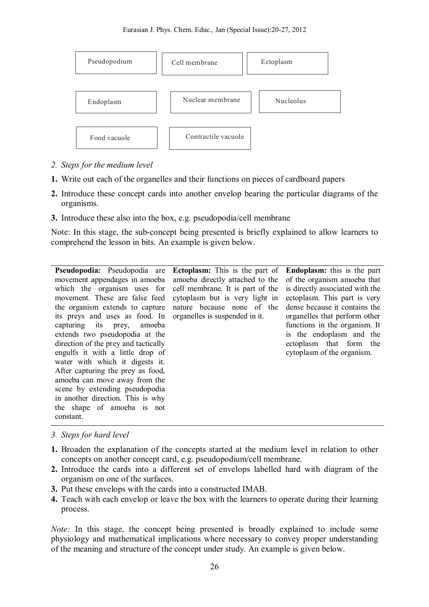

- *2. Steps for the medium level*
- **1.** Write out each of the organelles and their functions on pieces of cardboard papers
- **2.** Introduce these concept cards into another envelop bearing the particular diagrams of the organisms.
- **3.** Introduce these also into the box, e.g. pseudopodia/cell membrane

Note: In this stage, the sub-concept being presented is briefly explained to allow learners to comprehend the lesson in bits. An example is given below.

**Pseudopodia:** Pseudopodia are movement appendages in amoeba which the organism uses for movement. These are false feed the organism extends to capture its preys and uses as food. In capturing its prey, amoeba extends two pseudopodia at the direction of the prey and tactically engulfs it with a little drop of water with which it digests it. After capturing the prey as food, amoeba can move away from the scene by extending pseudopodia in another direction. This is why the shape of amoeba is not constant.

**Ectoplasm:** This is the part of amoeba directly attached to the cell membrane. It is part of the cytoplasm but is very light in nature because none of the organelles is suspended in it.

**Endoplasm:** this is the part of the organism amoeba that is directly associated with the ectoplasm. This part is very dense because it contains the organelles that perform other functions in the organism. It is the endoplasm and the ectoplasm that form the cytoplasm of the organism.

- *3. Steps for hard level*
- **1.** Broaden the explanation of the concepts started at the medium level in relation to other concepts on another concept card, e.g. pseudopodium/cell membrane.
- **2.** Introduce the cards into a different set of envelops labelled hard with diagram of the organism on one of the surfaces.
- **3.** Put these envelops with the cards into a constructed IMAB.
- **4.** Teach with each envelop or leave the box with the learners to operate during their learning process.

*Note:* In this stage, the concept being presented is broadly explained to include some physiology and mathematical implications where necessary to convey proper understanding of the meaning and structure of the concept under study. An example is given below.